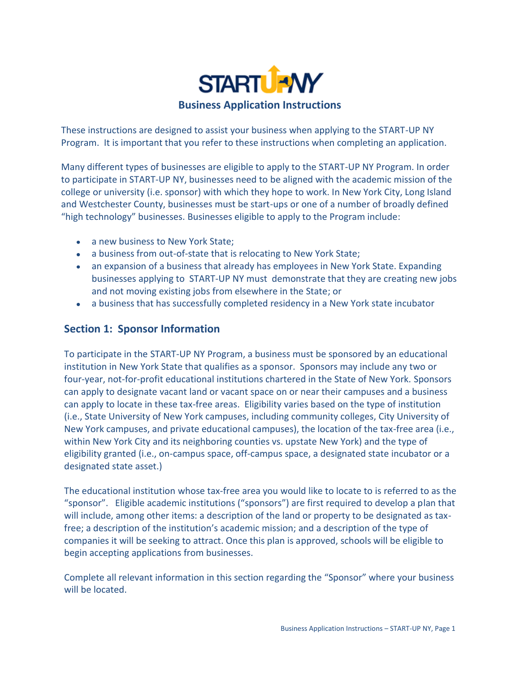

These instructions are designed to assist your business when applying to the START-UP NY Program. It is important that you refer to these instructions when completing an application.

Many different types of businesses are eligible to apply to the START-UP NY Program. In order to participate in START-UP NY, businesses need to be aligned with the academic mission of the college or university (i.e. sponsor) with which they hope to work. In New York City, Long Island and Westchester County, businesses must be start-ups or one of a number of broadly defined "high technology" businesses. Businesses eligible to apply to the Program include:

- a new business to New York State;
- a business from out-of-state that is relocating to New York State;
- an expansion of a business that already has employees in New York State. Expanding businesses applying to START-UP NY must demonstrate that they are creating new jobs and not moving existing jobs from elsewhere in the State; or
- a business that has successfully completed residency in a New York state incubator

# **Section 1: Sponsor Information**

To participate in the START-UP NY Program, a business must be sponsored by an educational institution in New York State that qualifies as a sponsor. Sponsors may include any two or four-year, not-for-profit educational institutions chartered in the State of New York. Sponsors can apply to designate vacant land or vacant space on or near their campuses and a business can apply to locate in these tax-free areas. Eligibility varies based on the type of institution (i.e., State University of New York campuses, including community colleges, City University of New York campuses, and private educational campuses), the location of the tax-free area (i.e., within New York City and its neighboring counties vs. upstate New York) and the type of eligibility granted (i.e., on-campus space, off-campus space, a designated state incubator or a designated state asset.)

The educational institution whose tax-free area you would like to locate to is referred to as the "sponsor". Eligible academic institutions ("sponsors") are first required to develop a plan that will include, among other items: a description of the land or property to be designated as taxfree; a description of the institution's academic mission; and a description of the type of companies it will be seeking to attract. Once this plan is approved, schools will be eligible to begin accepting applications from businesses.

Complete all relevant information in this section regarding the "Sponsor" where your business will be located.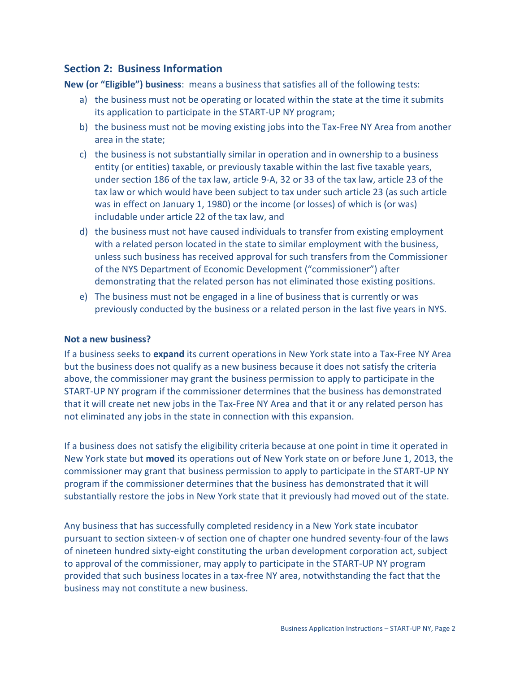# **Section 2: Business Information**

**New (or "Eligible") business**: means a business that satisfies all of the following tests:

- a) the business must not be operating or located within the state at the time it submits its application to participate in the START-UP NY program;
- b) the business must not be moving existing jobs into the Tax-Free NY Area from another area in the state;
- c) the business is not substantially similar in operation and in ownership to a business entity (or entities) taxable, or previously taxable within the last five taxable years, under section 186 of the tax law, article 9-A, 32 or 33 of the tax law, article 23 of the tax law or which would have been subject to tax under such article 23 (as such article was in effect on January 1, 1980) or the income (or losses) of which is (or was) includable under article 22 of the tax law, and
- d) the business must not have caused individuals to transfer from existing employment with a related person located in the state to similar employment with the business, unless such business has received approval for such transfers from the Commissioner of the NYS Department of Economic Development ("commissioner") after demonstrating that the related person has not eliminated those existing positions.
- e) The business must not be engaged in a line of business that is currently or was previously conducted by the business or a related person in the last five years in NYS.

## **Not a new business?**

If a business seeks to **expand** its current operations in New York state into a Tax-Free NY Area but the business does not qualify as a new business because it does not satisfy the criteria above, the commissioner may grant the business permission to apply to participate in the START-UP NY program if the commissioner determines that the business has demonstrated that it will create net new jobs in the Tax-Free NY Area and that it or any related person has not eliminated any jobs in the state in connection with this expansion.

If a business does not satisfy the eligibility criteria because at one point in time it operated in New York state but **moved** its operations out of New York state on or before June 1, 2013, the commissioner may grant that business permission to apply to participate in the START-UP NY program if the commissioner determines that the business has demonstrated that it will substantially restore the jobs in New York state that it previously had moved out of the state.

Any business that has successfully completed residency in a New York state incubator pursuant to section sixteen-v of section one of chapter one hundred seventy-four of the laws of nineteen hundred sixty-eight constituting the urban development corporation act, subject to approval of the commissioner, may apply to participate in the START-UP NY program provided that such business locates in a tax-free NY area, notwithstanding the fact that the business may not constitute a new business.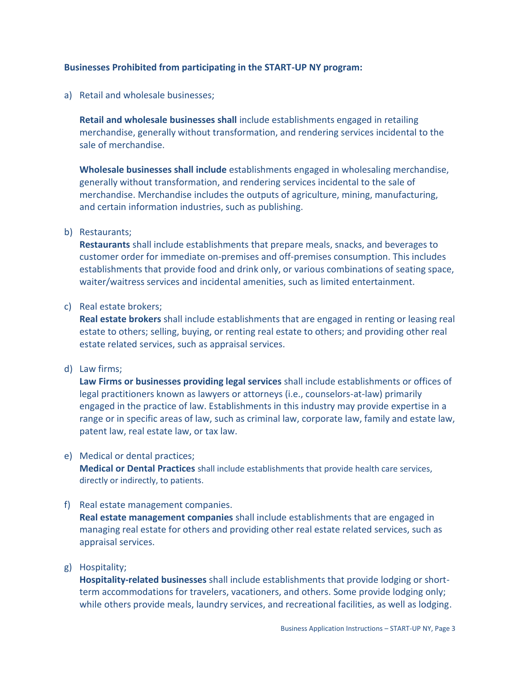## **Businesses Prohibited from participating in the START-UP NY program:**

a) Retail and wholesale businesses;

**Retail and wholesale businesses shall** include establishments engaged in retailing merchandise, generally without transformation, and rendering services incidental to the sale of merchandise.

**Wholesale businesses shall include** establishments engaged in wholesaling merchandise, generally without transformation, and rendering services incidental to the sale of merchandise. Merchandise includes the outputs of agriculture, mining, manufacturing, and certain information industries, such as publishing.

### b) Restaurants;

**Restaurants** shall include establishments that prepare meals, snacks, and beverages to customer order for immediate on-premises and off-premises consumption. This includes establishments that provide food and drink only, or various combinations of seating space, waiter/waitress services and incidental amenities, such as limited entertainment.

### c) Real estate brokers;

**Real estate brokers** shall include establishments that are engaged in renting or leasing real estate to others; selling, buying, or renting real estate to others; and providing other real estate related services, such as appraisal services.

### d) Law firms;

**Law Firms or businesses providing legal services** shall include establishments or offices of legal practitioners known as lawyers or attorneys (i.e., counselors-at-law) primarily engaged in the practice of law. Establishments in this industry may provide expertise in a range or in specific areas of law, such as criminal law, corporate law, family and estate law, patent law, real estate law, or tax law.

## e) Medical or dental practices;

**Medical or Dental Practices** shall include establishments that provide health care services, directly or indirectly, to patients.

## f) Real estate management companies.

**Real estate management companies** shall include establishments that are engaged in managing real estate for others and providing other real estate related services, such as appraisal services.

### g) Hospitality;

**Hospitality-related businesses** shall include establishments that provide lodging or shortterm accommodations for travelers, vacationers, and others. Some provide lodging only; while others provide meals, laundry services, and recreational facilities, as well as lodging.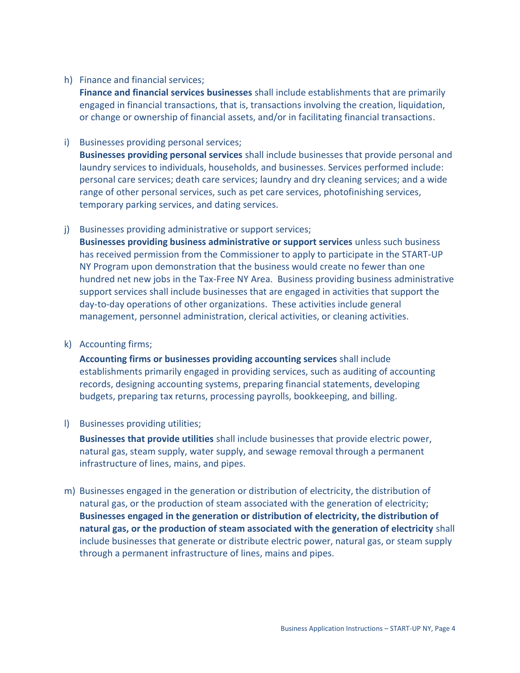## h) Finance and financial services;

**Finance and financial services businesses** shall include establishments that are primarily engaged in financial transactions, that is, transactions involving the creation, liquidation, or change or ownership of financial assets, and/or in facilitating financial transactions.

i) Businesses providing personal services;

**Businesses providing personal services** shall include businesses that provide personal and laundry services to individuals, households, and businesses. Services performed include: personal care services; death care services; laundry and dry cleaning services; and a wide range of other personal services, such as pet care services, photofinishing services, temporary parking services, and dating services.

j) Businesses providing administrative or support services;

**Businesses providing business administrative or support services** unless such business has received permission from the Commissioner to apply to participate in the START-UP NY Program upon demonstration that the business would create no fewer than one hundred net new jobs in the Tax-Free NY Area. Business providing business administrative support services shall include businesses that are engaged in activities that support the day-to-day operations of other organizations. These activities include general management, personnel administration, clerical activities, or cleaning activities.

k) Accounting firms;

**Accounting firms or businesses providing accounting services** shall include establishments primarily engaged in providing services, such as auditing of accounting records, designing accounting systems, preparing financial statements, developing budgets, preparing tax returns, processing payrolls, bookkeeping, and billing.

l) Businesses providing utilities;

**Businesses that provide utilities** shall include businesses that provide electric power, natural gas, steam supply, water supply, and sewage removal through a permanent infrastructure of lines, mains, and pipes.

m) Businesses engaged in the generation or distribution of electricity, the distribution of natural gas, or the production of steam associated with the generation of electricity; **Businesses engaged in the generation or distribution of electricity, the distribution of natural gas, or the production of steam associated with the generation of electricity** shall include businesses that generate or distribute electric power, natural gas, or steam supply through a permanent infrastructure of lines, mains and pipes.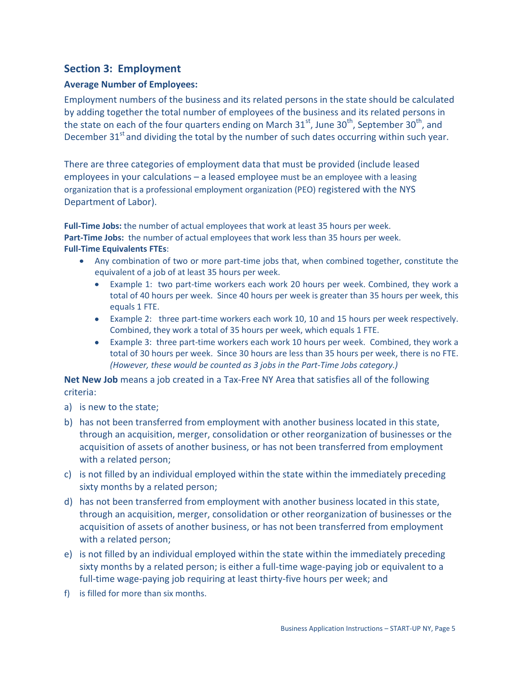# **Section 3: Employment**

# **Average Number of Employees:**

Employment numbers of the business and its related persons in the state should be calculated by adding together the total number of employees of the business and its related persons in the state on each of the four quarters ending on March  $31^{st}$ , June  $30^{th}$ , September  $30^{th}$ , and December  $31<sup>st</sup>$  and dividing the total by the number of such dates occurring within such year.

There are three categories of employment data that must be provided (include leased employees in your calculations – a leased employee must be an employee with a leasing organization that is a professional employment organization (PEO) registered with the NYS Department of Labor).

**Full-Time Jobs:** the number of actual employees that work at least 35 hours per week. **Part-Time Jobs:** the number of actual employees that work less than 35 hours per week. **Full-Time Equivalents FTEs**:

- Any combination of two or more part-time jobs that, when combined together, constitute the equivalent of a job of at least 35 hours per week.
	- $\bullet$ Example 1: two part-time workers each work 20 hours per week. Combined, they work a total of 40 hours per week. Since 40 hours per week is greater than 35 hours per week, this equals 1 FTE.
	- Example 2: three part-time workers each work 10, 10 and 15 hours per week respectively. Combined, they work a total of 35 hours per week, which equals 1 FTE.
	- Example 3: three part-time workers each work 10 hours per week. Combined, they work a  $\bullet$ total of 30 hours per week. Since 30 hours are less than 35 hours per week, there is no FTE. *(However, these would be counted as 3 jobs in the Part-Time Jobs category.)*

**Net New Job** means a job created in a Tax-Free NY Area that satisfies all of the following criteria:

- a) is new to the state;
- b) has not been transferred from employment with another business located in this state, through an acquisition, merger, consolidation or other reorganization of businesses or the acquisition of assets of another business, or has not been transferred from employment with a related person;
- c) is not filled by an individual employed within the state within the immediately preceding sixty months by a related person;
- d) has not been transferred from employment with another business located in this state, through an acquisition, merger, consolidation or other reorganization of businesses or the acquisition of assets of another business, or has not been transferred from employment with a related person;
- e) is not filled by an individual employed within the state within the immediately preceding sixty months by a related person; is either a full-time wage-paying job or equivalent to a full-time wage-paying job requiring at least thirty-five hours per week; and
- f) is filled for more than six months.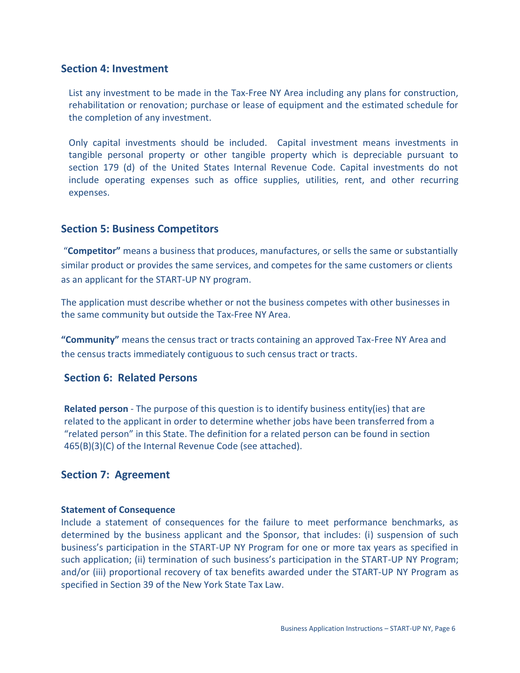# **Section 4: Investment**

List any investment to be made in the Tax-Free NY Area including any plans for construction, rehabilitation or renovation; purchase or lease of equipment and the estimated schedule for the completion of any investment.

Only capital investments should be included. Capital investment means investments in tangible personal property or other tangible property which is depreciable pursuant to section 179 (d) of the United States Internal Revenue Code. Capital investments do not include operating expenses such as office supplies, utilities, rent, and other recurring expenses.

## **Section 5: Business Competitors**

"**Competitor"** means a business that produces, manufactures, or sells the same or substantially similar product or provides the same services, and competes for the same customers or clients as an applicant for the START-UP NY program.

The application must describe whether or not the business competes with other businesses in the same community but outside the Tax-Free NY Area.

**"Community"** means the census tract or tracts containing an approved Tax-Free NY Area and the census tracts immediately contiguous to such census tract or tracts.

# **Section 6: Related Persons**

**Related person** - The purpose of this question is to identify business entity(ies) that are related to the applicant in order to determine whether jobs have been transferred from a "related person" in this State. The definition for a related person can be found in section 465(B)(3)(C) of the Internal Revenue Code (see attached).

# **Section 7: Agreement**

### **Statement of Consequence**

Include a statement of consequences for the failure to meet performance benchmarks, as determined by the business applicant and the Sponsor, that includes: (i) suspension of such business's participation in the START-UP NY Program for one or more tax years as specified in such application; (ii) termination of such business's participation in the START-UP NY Program; and/or (iii) proportional recovery of tax benefits awarded under the START-UP NY Program as specified in Section 39 of the New York State Tax Law.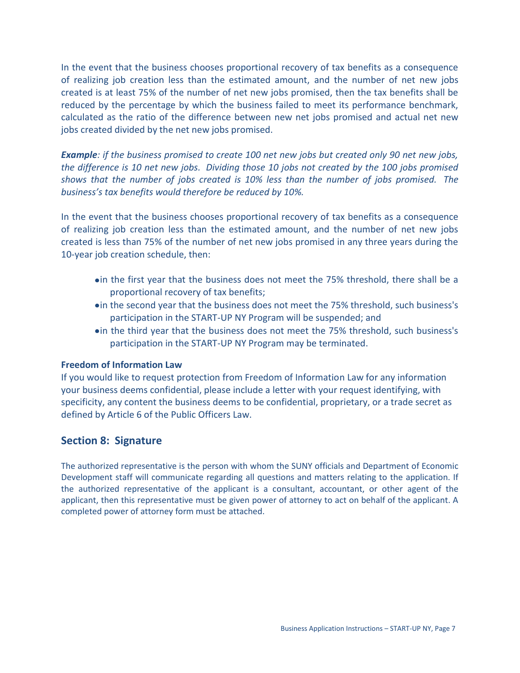In the event that the business chooses proportional recovery of tax benefits as a consequence of realizing job creation less than the estimated amount, and the number of net new jobs created is at least 75% of the number of net new jobs promised, then the tax benefits shall be reduced by the percentage by which the business failed to meet its performance benchmark, calculated as the ratio of the difference between new net jobs promised and actual net new jobs created divided by the net new jobs promised.

*Example: if the business promised to create 100 net new jobs but created only 90 net new jobs, the difference is 10 net new jobs. Dividing those 10 jobs not created by the 100 jobs promised shows that the number of jobs created is 10% less than the number of jobs promised. The business's tax benefits would therefore be reduced by 10%.*

In the event that the business chooses proportional recovery of tax benefits as a consequence of realizing job creation less than the estimated amount, and the number of net new jobs created is less than 75% of the number of net new jobs promised in any three years during the 10-year job creation schedule, then:

- in the first year that the business does not meet the 75% threshold, there shall be a proportional recovery of tax benefits;
- in the second year that the business does not meet the 75% threshold, such business's participation in the START-UP NY Program will be suspended; and
- **•** in the third year that the business does not meet the 75% threshold, such business's participation in the START-UP NY Program may be terminated.

### **Freedom of Information Law**

If you would like to request protection from Freedom of Information Law for any information your business deems confidential, please include a letter with your request identifying, with specificity, any content the business deems to be confidential, proprietary, or a trade secret as defined by Article 6 of the Public Officers Law.

# **Section 8: Signature**

The authorized representative is the person with whom the SUNY officials and Department of Economic Development staff will communicate regarding all questions and matters relating to the application. If the authorized representative of the applicant is a consultant, accountant, or other agent of the applicant, then this representative must be given power of attorney to act on behalf of the applicant. A completed power of attorney form must be attached.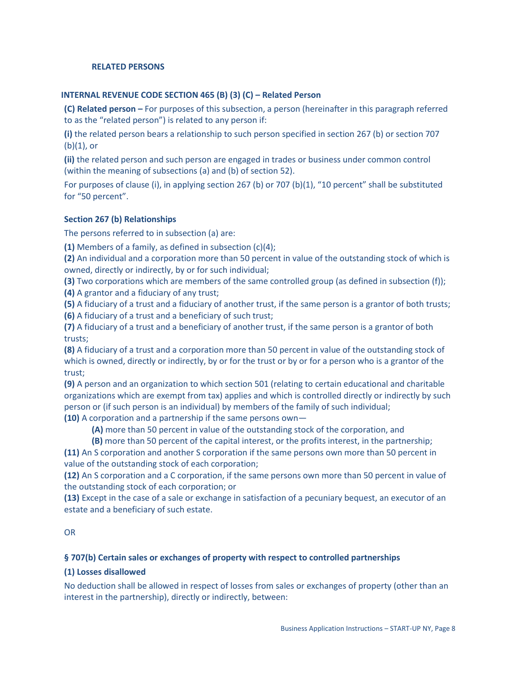#### **RELATED PERSONS**

#### **INTERNAL REVENUE CODE SECTION 465 (B) (3) (C) – Related Person**

**(C) Related person –** For purposes of this subsection, a person (hereinafter in this paragraph referred to as the "related person") is related to any person if:

**(i)** the related person bears a relationship to such person specified in section 267 (b) or section 707  $(b)(1)$ , or

**(ii)** the related person and such person are engaged in trades or business under common control (within the meaning of subsections (a) and (b) of section 52).

For purposes of clause (i), in applying section 267 (b) or 707 (b)(1), "10 percent" shall be substituted for "50 percent".

#### **Section 267 (b) Relationships**

The persons referred to in subsection (a) are:

**(1)** Members of a family, as defined in subsection (c)(4);

**(2)** An individual and a corporation more than 50 percent in value of the outstanding stock of which is owned, directly or indirectly, by or for such individual;

**(3)** Two corporations which are members of the same controlled group (as defined in subsection (f)); **(4)** A grantor and a fiduciary of any trust;

**(5)** A fiduciary of a trust and a fiduciary of another trust, if the same person is a grantor of both trusts;

**(6)** A fiduciary of a trust and a beneficiary of such trust;

**(7)** A fiduciary of a trust and a beneficiary of another trust, if the same person is a grantor of both trusts;

**(8)** A fiduciary of a trust and a corporation more than 50 percent in value of the outstanding stock of which is owned, directly or indirectly, by or for the trust or by or for a person who is a grantor of the trust;

**(9)** A person and an organization to which sectio[n 501](http://www.law.cornell.edu/uscode/html/uscode26/usc_sec_26_00000501----000-.html) (relating to certain educational and charitable organizations which are exempt from tax) applies and which is controlled directly or indirectly by such person or (if such person is an individual) by members of the family of such individual; **(10)** A corporation and a partnership if the same persons own—

**(A)** more than 50 percent in value of the outstanding stock of the corporation, and

**(B)** more than 50 percent of the capital interest, or the profits interest, in the partnership;

**(11)** An S corporation and another S corporation if the same persons own more than 50 percent in value of the outstanding stock of each corporation;

**(12)** An S corporation and a C corporation, if the same persons own more than 50 percent in value of the outstanding stock of each corporation; or

**(13)** Except in the case of a sale or exchange in satisfaction of a pecuniary bequest, an executor of an estate and a beneficiary of such estate.

#### OR

#### **§ 707(b) Certain sales or exchanges of property with respect to controlled partnerships**

#### **(1) Losses disallowed**

No deduction shall be allowed in respect of losses from sales or exchanges of property (other than an interest in the partnership), directly or indirectly, between: